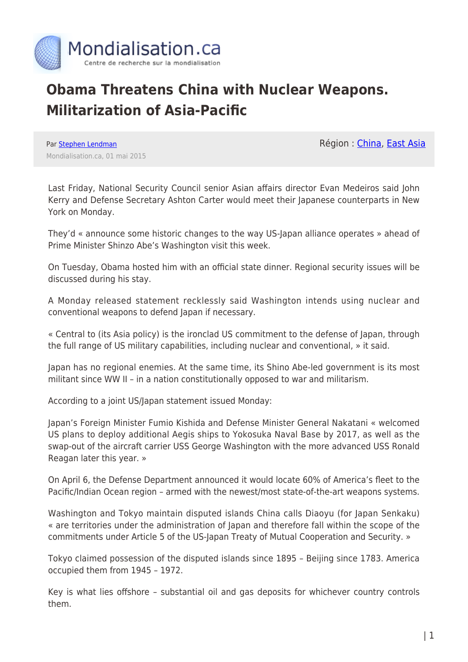

## **Obama Threatens China with Nuclear Weapons. Militarization of Asia-Pacific**

Région : [China](https://www.mondialisation.ca/region/china), [East Asia](https://www.mondialisation.ca/region/east-asia)

Par [Stephen Lendman](https://www.mondialisation.ca/author/stephen-lendman) Mondialisation.ca, 01 mai 2015

Last Friday, National Security Council senior Asian affairs director Evan Medeiros said John Kerry and Defense Secretary Ashton Carter would meet their Japanese counterparts in New York on Monday.

They'd « announce some historic changes to the way US-Japan alliance operates » ahead of Prime Minister Shinzo Abe's Washington visit this week.

On Tuesday, Obama hosted him with an official state dinner. Regional security issues will be discussed during his stay.

A Monday released statement recklessly said Washington intends using nuclear and conventional weapons to defend Japan if necessary.

« Central to (its Asia policy) is the ironclad US commitment to the defense of Japan, through the full range of US military capabilities, including nuclear and conventional, » it said.

Japan has no regional enemies. At the same time, its Shino Abe-led government is its most militant since WW II – in a nation constitutionally opposed to war and militarism.

According to a joint US/Japan statement issued Monday:

Japan's Foreign Minister Fumio Kishida and Defense Minister General Nakatani « welcomed US plans to deploy additional Aegis ships to Yokosuka Naval Base by 2017, as well as the swap-out of the aircraft carrier USS George Washington with the more advanced USS Ronald Reagan later this year. »

On April 6, the Defense Department announced it would locate 60% of America's fleet to the Pacific/Indian Ocean region – armed with the newest/most state-of-the-art weapons systems.

Washington and Tokyo maintain disputed islands China calls Diaoyu (for Japan Senkaku) « are territories under the administration of Japan and therefore fall within the scope of the commitments under Article 5 of the US-Japan Treaty of Mutual Cooperation and Security. »

Tokyo claimed possession of the disputed islands since 1895 – Beijing since 1783. America occupied them from 1945 – 1972.

Key is what lies offshore – substantial oil and gas deposits for whichever country controls them.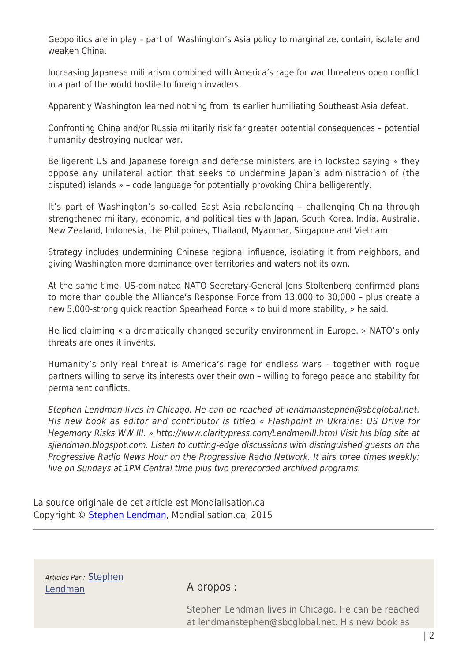Geopolitics are in play – part of Washington's Asia policy to marginalize, contain, isolate and weaken China.

Increasing Japanese militarism combined with America's rage for war threatens open conflict in a part of the world hostile to foreign invaders.

Apparently Washington learned nothing from its earlier humiliating Southeast Asia defeat.

Confronting China and/or Russia militarily risk far greater potential consequences – potential humanity destroying nuclear war.

Belligerent US and Japanese foreign and defense ministers are in lockstep saying « they oppose any unilateral action that seeks to undermine Japan's administration of (the disputed) islands » – code language for potentially provoking China belligerently.

It's part of Washington's so-called East Asia rebalancing – challenging China through strengthened military, economic, and political ties with Japan, South Korea, India, Australia, New Zealand, Indonesia, the Philippines, Thailand, Myanmar, Singapore and Vietnam.

Strategy includes undermining Chinese regional influence, isolating it from neighbors, and giving Washington more dominance over territories and waters not its own.

At the same time, US-dominated NATO Secretary-General Jens Stoltenberg confirmed plans to more than double the Alliance's Response Force from 13,000 to 30,000 – plus create a new 5,000-strong quick reaction Spearhead Force « to build more stability, » he said.

He lied claiming « a dramatically changed security environment in Europe. » NATO's only threats are ones it invents.

Humanity's only real threat is America's rage for endless wars – together with rogue partners willing to serve its interests over their own – willing to forego peace and stability for permanent conflicts.

Stephen Lendman lives in Chicago. He can be reached at lendmanstephen@sbcglobal.net. His new book as editor and contributor is titled « Flashpoint in Ukraine: US Drive for Hegemony Risks WW III. » http://www.claritypress.com/LendmanIII.html Visit his blog site at sjlendman.blogspot.com. Listen to cutting-edge discussions with distinguished guests on the Progressive Radio News Hour on the Progressive Radio Network. It airs three times weekly: live on Sundays at 1PM Central time plus two prerecorded archived programs.

La source originale de cet article est Mondialisation.ca Copyright © [Stephen Lendman,](https://www.mondialisation.ca/author/stephen-lendman) Mondialisation.ca, 2015

Articles Par : [Stephen](https://www.mondialisation.ca/author/stephen-lendman) [Lendman](https://www.mondialisation.ca/author/stephen-lendman) A propos :

Stephen Lendman lives in Chicago. He can be reached at lendmanstephen@sbcglobal.net. His new book as